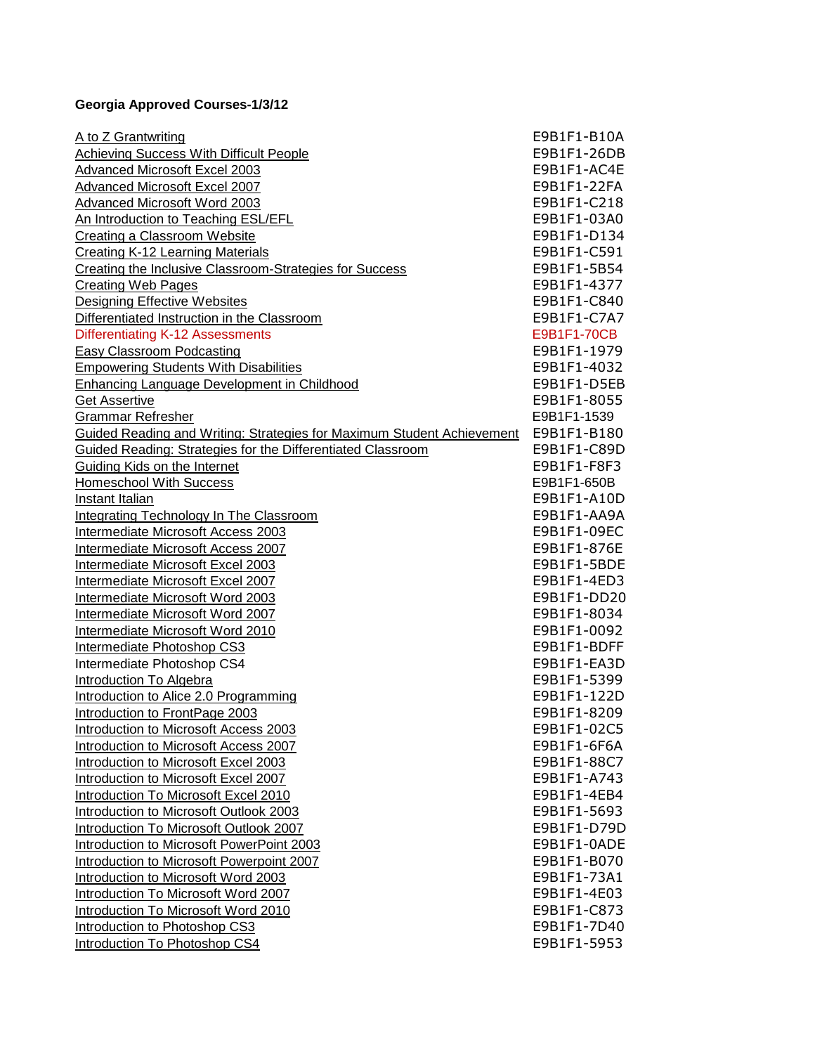## **Georgia Approved Courses-1/3/12**

| A to Z Grantwriting                                                    | E9B1F1-B10A |
|------------------------------------------------------------------------|-------------|
| <b>Achieving Success With Difficult People</b>                         | E9B1F1-26DB |
| <b>Advanced Microsoft Excel 2003</b>                                   | E9B1F1-AC4E |
| Advanced Microsoft Excel 2007                                          | E9B1F1-22FA |
| Advanced Microsoft Word 2003                                           | E9B1F1-C218 |
| An Introduction to Teaching ESL/EFL                                    | E9B1F1-03A0 |
| <b>Creating a Classroom Website</b>                                    | E9B1F1-D134 |
| <b>Creating K-12 Learning Materials</b>                                | E9B1F1-C591 |
| Creating the Inclusive Classroom-Strategies for Success                | E9B1F1-5B54 |
| <b>Creating Web Pages</b>                                              | E9B1F1-4377 |
| Designing Effective Websites                                           | E9B1F1-C840 |
| Differentiated Instruction in the Classroom                            | E9B1F1-C7A7 |
| Differentiating K-12 Assessments                                       | E9B1F1-70CB |
| <b>Easy Classroom Podcasting</b>                                       | E9B1F1-1979 |
| <b>Empowering Students With Disabilities</b>                           | E9B1F1-4032 |
| <b>Enhancing Language Development in Childhood</b>                     | E9B1F1-D5EB |
| <b>Get Assertive</b>                                                   | E9B1F1-8055 |
| <b>Grammar Refresher</b>                                               | E9B1F1-1539 |
| Guided Reading and Writing: Strategies for Maximum Student Achievement | E9B1F1-B180 |
| Guided Reading: Strategies for the Differentiated Classroom            | E9B1F1-C89D |
| <b>Guiding Kids on the Internet</b>                                    | E9B1F1-F8F3 |
| <b>Homeschool With Success</b>                                         | E9B1F1-650B |
| Instant Italian                                                        | E9B1F1-A10D |
| <b>Integrating Technology In The Classroom</b>                         | E9B1F1-AA9A |
| Intermediate Microsoft Access 2003                                     | E9B1F1-09EC |
| Intermediate Microsoft Access 2007                                     | E9B1F1-876E |
| Intermediate Microsoft Excel 2003                                      | E9B1F1-5BDE |
| Intermediate Microsoft Excel 2007                                      | E9B1F1-4ED3 |
| Intermediate Microsoft Word 2003                                       | E9B1F1-DD20 |
| Intermediate Microsoft Word 2007                                       | E9B1F1-8034 |
| Intermediate Microsoft Word 2010                                       | E9B1F1-0092 |
| Intermediate Photoshop CS3                                             | E9B1F1-BDFF |
| Intermediate Photoshop CS4                                             | E9B1F1-EA3D |
| <b>Introduction To Algebra</b>                                         | E9B1F1-5399 |
| Introduction to Alice 2.0 Programming                                  | E9B1F1-122D |
| Introduction to FrontPage 2003                                         | E9B1F1-8209 |
| Introduction to Microsoft Access 2003                                  | E9B1F1-02C5 |
| Introduction to Microsoft Access 2007                                  | E9B1F1-6F6A |
| Introduction to Microsoft Excel 2003                                   | E9B1F1-88C7 |
| Introduction to Microsoft Excel 2007                                   | E9B1F1-A743 |
| Introduction To Microsoft Excel 2010                                   | E9B1F1-4EB4 |
| Introduction to Microsoft Outlook 2003                                 | E9B1F1-5693 |
| Introduction To Microsoft Outlook 2007                                 | E9B1F1-D79D |
| Introduction to Microsoft PowerPoint 2003                              | E9B1F1-0ADE |
| Introduction to Microsoft Powerpoint 2007                              | E9B1F1-B070 |
| Introduction to Microsoft Word 2003                                    | E9B1F1-73A1 |
| Introduction To Microsoft Word 2007                                    | E9B1F1-4E03 |
| Introduction To Microsoft Word 2010                                    | E9B1F1-C873 |
| Introduction to Photoshop CS3                                          | E9B1F1-7D40 |
| Introduction To Photoshop CS4                                          | E9B1F1-5953 |
|                                                                        |             |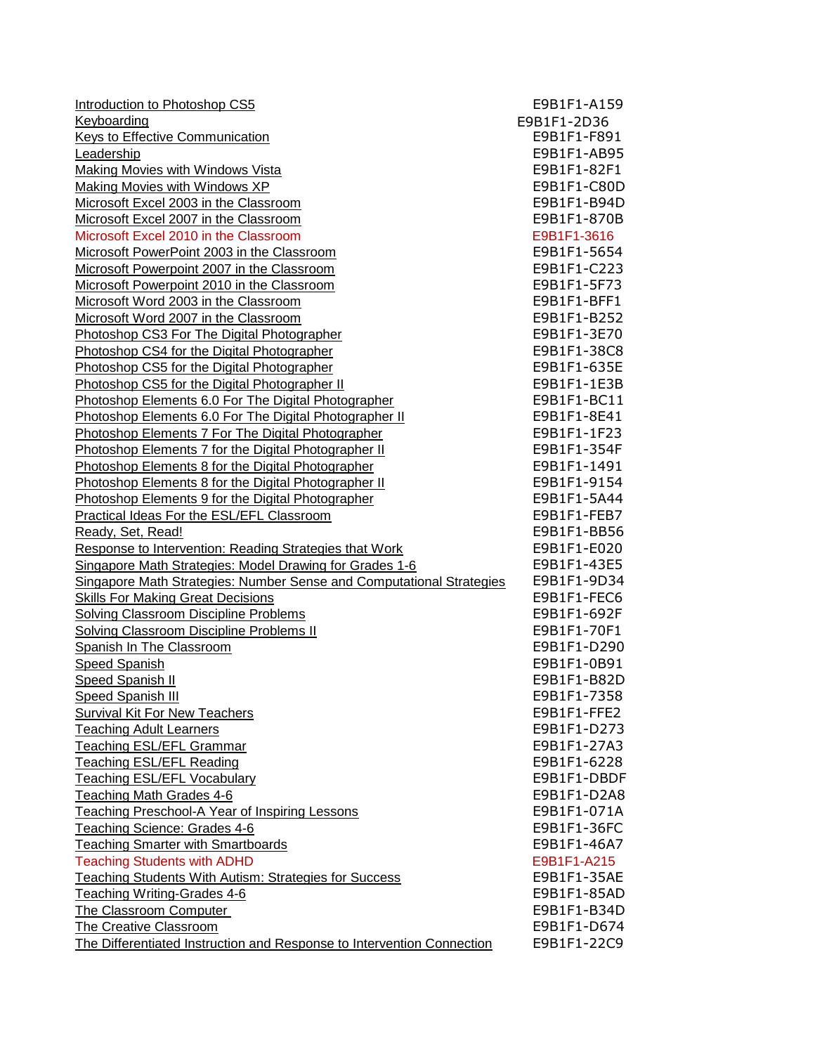[Introduction to Photoshop CS5](http://admin.doe.k12.ga.us/gadoe/StaffDev.nsf/ac9f26aa9f1acd16852575af00510768/88ed8c715f493222852578dc007f52c3?OpenDocument) **E9B1F1-A159** Keyboarding E9B1F1-2D36 [Keys to Effective Communication](http://admin.doe.k12.ga.us/gadoe/StaffDev.nsf/ac9f26aa9f1acd16852575af00510768/f891b712b463f0cb8525758300798cba?OpenDocument) **E9B1F1-F891** [Leadership](http://admin.doe.k12.ga.us/gadoe/StaffDev.nsf/ac9f26aa9f1acd16852575af00510768/ab95f3f7cf6843a98525723a0064d2aa?OpenDocument) E9B1F1-AB95 Making Movies with Windows Vista **E9B1F1-82F1** E9B1F1-82F1 [Making Movies with Windows XP](http://admin.doe.k12.ga.us/gadoe/StaffDev.nsf/ac9f26aa9f1acd16852575af00510768/c80d28bfaa9c305685257267006d13ab?OpenDocument) and the state of the state of the SSD E9B1F1-C80D [Microsoft Excel 2003 in the Classroom](http://admin.doe.k12.ga.us/gadoe/StaffDev.nsf/ac9f26aa9f1acd16852575af00510768/b94d106affb6a67985257234007478f3?OpenDocument) **E9B1F1-B94D** [Microsoft Excel 2007 in the Classroom](http://admin.doe.k12.ga.us/gadoe/StaffDev.nsf/ac9f26aa9f1acd16852575af00510768/870b56480c2abe4f85257420005c0465?OpenDocument) **E9B1F1-870B** Microsoft Excel 2010 in the Classroom **E9B1F1-3616** [Microsoft PowerPoint 2003 in the Classroom](http://admin.doe.k12.ga.us/gadoe/StaffDev.nsf/ac9f26aa9f1acd16852575af00510768/5654e16afa472da7852572340076ebd9?OpenDocument) entitled and the Classroom E9B1F1-5654 [Microsoft Powerpoint 2007 in the Classroom](http://admin.doe.k12.ga.us/gadoe/StaffDev.nsf/ac9f26aa9f1acd16852575af00510768/c2232b7ae351815f8525754000666765?OpenDocument) **E9B1F1-C223** Microsoft Powerpoint 2010 in the Classroom **E9B1F1-5F73** [Microsoft Word 2003 in the Classroom](http://admin.doe.k12.ga.us/gadoe/StaffDev.nsf/ac9f26aa9f1acd16852575af00510768/bff15a999a963071852572340075c088?OpenDocument) **E9B1F1-BFF1** [Microsoft Word 2007 in the Classroom](http://admin.doe.k12.ga.us/gadoe/StaffDev.nsf/ac9f26aa9f1acd16852575af00510768/b252db28d8ea8a43852573e6008101ad?OpenDocument) **E9B1F1-B252** [Photoshop CS3 For The Digital Photographer](http://admin.doe.k12.ga.us/gadoe/StaffDev.nsf/ac9f26aa9f1acd16852575af00510768/3e70c20789a3c65a8525757f0070d9ae?OpenDocument) **E9B1F1-3E70** [Photoshop CS4 for the Digital Photographer](http://admin.doe.k12.ga.us/gadoe/StaffDev.nsf/ac9f26aa9f1acd16852575af00510768/35c8ea78993c8846852578d4006ab28a?OpenDocument) **E9B1F1-38C8** [Photoshop CS5 for the Digital Photographer](http://admin.doe.k12.ga.us/gadoe/StaffDev.nsf/ac9f26aa9f1acd16852575af00510768/3fc2493967a5f4d4852578d4006b84a8?OpenDocument) **E9B1F1-635E** [Photoshop CS5 for the Digital Photographer II](http://admin.doe.k12.ga.us/gadoe/StaffDev.nsf/ac9f26aa9f1acd16852575af00510768/d140916a47953390852578d4007b0f9a?OpenDocument) **E9B1F1-1E3B** [Photoshop Elements 6.0 For The Digital Photographer](http://admin.doe.k12.ga.us/gadoe/StaffDev.nsf/ac9f26aa9f1acd16852575af00510768/bc11716d396340088525757f00741d7c?OpenDocument) **E9B1F1-BC11** [Photoshop Elements 6.0 For The Digital Photographer II](http://admin.doe.k12.ga.us/gadoe/StaffDev.nsf/ac9f26aa9f1acd16852575af00510768/8e417c8ef21d84058525758300777590?OpenDocument) E9B1F1-8E41 [Photoshop Elements 7 For The Digital Photographer](http://admin.doe.k12.ga.us/gadoe/StaffDev.nsf/ac9f26aa9f1acd16852575af00510768/1f23e1d23b0016898525757e005c08c5?OpenDocument) **E9B1F1-1F23** [Photoshop Elements 7 for the Digital Photographer II](http://admin.doe.k12.ga.us/gadoe/StaffDev.nsf/ac9f26aa9f1acd16852575af00510768/1e150df4d3746c2a852578d4007e5034?OpenDocument) **E9B1F1-354F** [Photoshop Elements 8 for the Digital Photographer](http://admin.doe.k12.ga.us/gadoe/StaffDev.nsf/ac9f26aa9f1acd16852575af00510768/3913fc28db56d3b6852578d4007f6c3b?OpenDocument) **E9B1F1-1491** [Photoshop Elements 8 for the Digital Photographer II](http://admin.doe.k12.ga.us/gadoe/StaffDev.nsf/ac9f26aa9f1acd16852575af00510768/1054308b302c19e9852578dc00724d80?OpenDocument) E9B1F1-9154 [Photoshop Elements 9 for the Digital Photographer](http://admin.doe.k12.ga.us/gadoe/StaffDev.nsf/ac9f26aa9f1acd16852575af00510768/8a6ee4fcba9859e7852578dc00757a61?OpenDocument) **E9B1F1-5A44** [Practical Ideas For the ESL/EFL Classroom](http://admin.doe.k12.ga.us/gadoe/StaffDev.nsf/ac9f26aa9f1acd16852575af00510768/c418808051d5853e852575df007142e1?OpenDocument) **E9B1F1-FEB7** [Ready, Set, Read!](http://admin.doe.k12.ga.us/gadoe/StaffDev.nsf/ac9f26aa9f1acd16852575af00510768/bb564d3869f449ae85257234006edc89?OpenDocument) E9B1F1-BB56 [Response to Intervention: Reading Strategies that Work](http://admin.doe.k12.ga.us/gadoe/StaffDev.nsf/ac9f26aa9f1acd16852575af00510768/e020b4c60a2da0178525754000671e91?OpenDocument) **E9B1F1-E020** [Singapore Math Strategies: Model Drawing for Grades 1-6](http://admin.doe.k12.ga.us/gadoe/StaffDev.nsf/ac9f26aa9f1acd16852575af00510768/43e5248b4e640bb3852574dd00675481?OpenDocument) **E9B1F1-43E5** Singapore Math Strategies: Number Sense and Computational Strategies E9B1F1-9D34 [Skills For Making Great Decisions](http://admin.doe.k12.ga.us/gadoe/StaffDev.nsf/ac9f26aa9f1acd16852575af00510768/fec6bff7dca888eb85257583007a1ebe?OpenDocument) **E9B1F1-FEC6** E9B1F1-FEC6 [Solving Classroom Discipline Problems](http://admin.doe.k12.ga.us/gadoe/StaffDev.nsf/ac9f26aa9f1acd16852575af00510768/692fd403cea34dc585257234006d2dbd?OpenDocument) **E9B1F1-692F** [Solving Classroom Discipline Problems II](http://admin.doe.k12.ga.us/gadoe/StaffDev.nsf/ac9f26aa9f1acd16852575af00510768/70f14a27203e2b0d8525744f007cf466?OpenDocument) **E9B1F1-70F1** [Spanish In The Classroom](http://admin.doe.k12.ga.us/gadoe/StaffDev.nsf/ac9f26aa9f1acd16852575af00510768/17a72e943377e19a8525761200639e55?OpenDocument) **E9B1F1-D290** [Speed Spanish](http://admin.doe.k12.ga.us/gadoe/StaffDev.nsf/ac9f26aa9f1acd16852575af00510768/0b91dc9ebf201e238525723a005c8a01?OpenDocument) **E9B1F1-0B91** [Speed Spanish II](http://admin.doe.k12.ga.us/gadoe/StaffDev.nsf/ac9f26aa9f1acd16852575af00510768/b82df2c3e995e2978525740f00783b59?OpenDocument) **E9B1F1-B82D** [Speed Spanish III](http://admin.doe.k12.ga.us/gadoe/StaffDev.nsf/ac9f26aa9f1acd16852575af00510768/73589cfaa66f403685257267006f7b67?OpenDocument) **E9B1F1-7358** [Survival Kit For New Teachers](http://admin.doe.k12.ga.us/gadoe/StaffDev.nsf/ac9f26aa9f1acd16852575af00510768/ffe2f593647158688525740f007ab540?OpenDocument) **E9B1F1-FFE2** Teaching Adult Learners **E9B1F1-D273** Teaching ESL/EFL Grammar **E9B1F1-27A3** [Teaching ESL/EFL Reading](http://admin.doe.k12.ga.us/gadoe/StaffDev.nsf/ac9f26aa9f1acd16852575af00510768/30cb82e46095b9df852575df0072281b?OpenDocument) E9B1F1-6228 Teaching ESL/EFL Vocabulary **E9B1F1-DBDF** [Teaching Math Grades 4-6](http://admin.doe.k12.ga.us/gadoe/StaffDev.nsf/ac9f26aa9f1acd16852575af00510768/d2a882b62189cd208525740f007b5556?OpenDocument) **E9B1F1-D2A8** E9B1F1-D2A8 Teaching Preschool-A Year of Inspiring Lessons **E9B1F1-071A** [Teaching Science: Grades 4-6](http://admin.doe.k12.ga.us/gadoe/StaffDev.nsf/ac9f26aa9f1acd16852575af00510768/36fc870b92cedab78525726700715746?OpenDocument) E9B1F1-36FC Teaching Smarter with Smartboards **E9B1F1-46A7** Teaching Students with ADHD E9B1F1-A215 [Teaching Students With Autism: Strategies for Success](http://admin.doe.k12.ga.us/gadoe/StaffDev.nsf/ac9f26aa9f1acd16852575af00510768/35ae22522d4967cd852574e3006b837d?OpenDocument) F9B1F1-35AE [Teaching Writing-Grades 4-6](http://admin.doe.k12.ga.us/gadoe/StaffDev.nsf/ac9f26aa9f1acd16852575af00510768/85adf84f4265e6ed852574dd00681ed8?OpenDocument) **E9B1F1-85AD** [The Classroom Computer](http://admin.doe.k12.ga.us/gadoe/StaffDev.nsf/ac9f26aa9f1acd16852575af00510768/b34dbb5f349c297485257234006300b0?OpenDocument) **E9B1F1-B34D** [The Creative Classroom](http://admin.doe.k12.ga.us/gadoe/StaffDev.nsf/ac9f26aa9f1acd16852575af00510768/d674dd3ab0f3960a85257234005a1cb4?OpenDocument) **E9B1F1-D674** [The Differentiated Instruction and Response to Intervention Connection](http://admin.doe.k12.ga.us/gadoe/StaffDev.nsf/ac9f26aa9f1acd16852575af00510768/3c565ef8e932ba5c852578dc0078da01?OpenDocument) E9B1F1-22C9